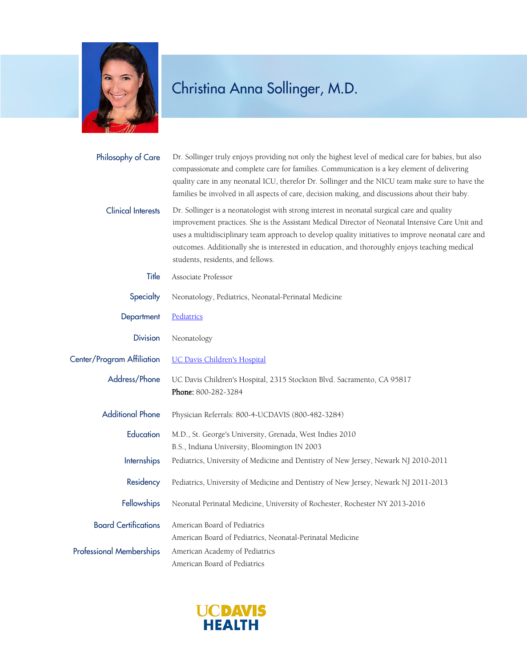

## Christina Anna Sollinger, M.D.

| Philosophy of Care              | Dr. Sollinger truly enjoys providing not only the highest level of medical care for babies, but also<br>compassionate and complete care for families. Communication is a key element of delivering<br>quality care in any neonatal ICU, therefor Dr. Sollinger and the NICU team make sure to have the<br>families be involved in all aspects of care, decision making, and discussions about their baby.                                   |
|---------------------------------|---------------------------------------------------------------------------------------------------------------------------------------------------------------------------------------------------------------------------------------------------------------------------------------------------------------------------------------------------------------------------------------------------------------------------------------------|
| <b>Clinical Interests</b>       | Dr. Sollinger is a neonatologist with strong interest in neonatal surgical care and quality<br>improvement practices. She is the Assistant Medical Director of Neonatal Intensive Care Unit and<br>uses a multidisciplinary team approach to develop quality initiatives to improve neonatal care and<br>outcomes. Additionally she is interested in education, and thoroughly enjoys teaching medical<br>students, residents, and fellows. |
| Title                           | Associate Professor                                                                                                                                                                                                                                                                                                                                                                                                                         |
| Specialty                       | Neonatology, Pediatrics, Neonatal-Perinatal Medicine                                                                                                                                                                                                                                                                                                                                                                                        |
| Department                      | Pediatrics                                                                                                                                                                                                                                                                                                                                                                                                                                  |
| <b>Division</b>                 | Neonatology                                                                                                                                                                                                                                                                                                                                                                                                                                 |
| Center/Program Affiliation      | <b>UC Davis Children's Hospital</b>                                                                                                                                                                                                                                                                                                                                                                                                         |
| Address/Phone                   | UC Davis Children's Hospital, 2315 Stockton Blvd. Sacramento, CA 95817<br>Phone: 800-282-3284                                                                                                                                                                                                                                                                                                                                               |
| <b>Additional Phone</b>         | Physician Referrals: 800-4-UCDAVIS (800-482-3284)                                                                                                                                                                                                                                                                                                                                                                                           |
| Education                       | M.D., St. George's University, Grenada, West Indies 2010<br>B.S., Indiana University, Bloomington IN 2003                                                                                                                                                                                                                                                                                                                                   |
| <b>Internships</b>              | Pediatrics, University of Medicine and Dentistry of New Jersey, Newark NJ 2010-2011                                                                                                                                                                                                                                                                                                                                                         |
| Residency                       | Pediatrics, University of Medicine and Dentistry of New Jersey, Newark NJ 2011-2013                                                                                                                                                                                                                                                                                                                                                         |
|                                 | Fellowships Neonatal Perinatal Medicine, University of Rochester, Rochester NY 2013-2016                                                                                                                                                                                                                                                                                                                                                    |
| <b>Board Certifications</b>     | American Board of Pediatrics<br>American Board of Pediatrics, Neonatal-Perinatal Medicine                                                                                                                                                                                                                                                                                                                                                   |
| <b>Professional Memberships</b> | American Academy of Pediatrics<br>American Board of Pediatrics                                                                                                                                                                                                                                                                                                                                                                              |

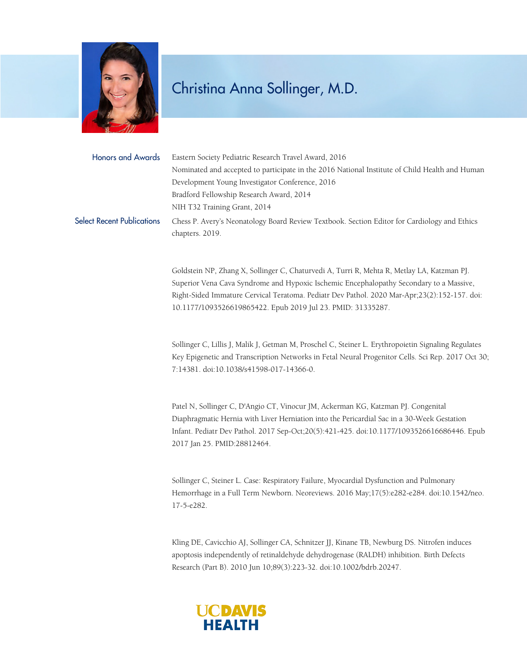

## Christina Anna Sollinger, M.D.

Honors and Awards Eastern Society Pediatric Research Travel Award, 2016 Nominated and accepted to participate in the 2016 National Institute of Child Health and Human Development Young Investigator Conference, 2016 Bradford Fellowship Research Award, 2014 NIH T32 Training Grant, 2014 Select Recent Publications Chess P. Avery's Neonatology Board Review Textbook. Section Editor for Cardiology and Ethics chapters. 2019.

> Goldstein NP, Zhang X, Sollinger C, Chaturvedi A, Turri R, Mehta R, Metlay LA, Katzman PJ. Superior Vena Cava Syndrome and Hypoxic Ischemic Encephalopathy Secondary to a Massive, Right-Sided Immature Cervical Teratoma. Pediatr Dev Pathol. 2020 Mar-Apr;23(2):152-157. doi: 10.1177/1093526619865422. Epub 2019 Jul 23. PMID: 31335287.

Sollinger C, Lillis J, Malik J, Getman M, Proschel C, Steiner L. Erythropoietin Signaling Regulates Key Epigenetic and Transcription Networks in Fetal Neural Progenitor Cells. Sci Rep. 2017 Oct 30; 7:14381. doi:10.1038/s41598-017-14366-0.

Patel N, Sollinger C, D'Angio CT, Vinocur JM, Ackerman KG, Katzman PJ. Congenital Diaphragmatic Hernia with Liver Herniation into the Pericardial Sac in a 30-Week Gestation Infant. Pediatr Dev Pathol. 2017 Sep-Oct;20(5):421-425. doi:10.1177/1093526616686446. Epub 2017 Jan 25. PMID:28812464.

Sollinger C, Steiner L. Case: Respiratory Failure, Myocardial Dysfunction and Pulmonary Hemorrhage in a Full Term Newborn. Neoreviews. 2016 May;17(5):e282-e284. doi:10.1542/neo. 17-5-e282.

Kling DE, Cavicchio AJ, Sollinger CA, Schnitzer JJ, Kinane TB, Newburg DS. Nitrofen induces apoptosis independently of retinaldehyde dehydrogenase (RALDH) inhibition. Birth Defects Research (Part B). 2010 Jun 10;89(3):223-32. doi:10.1002/bdrb.20247.